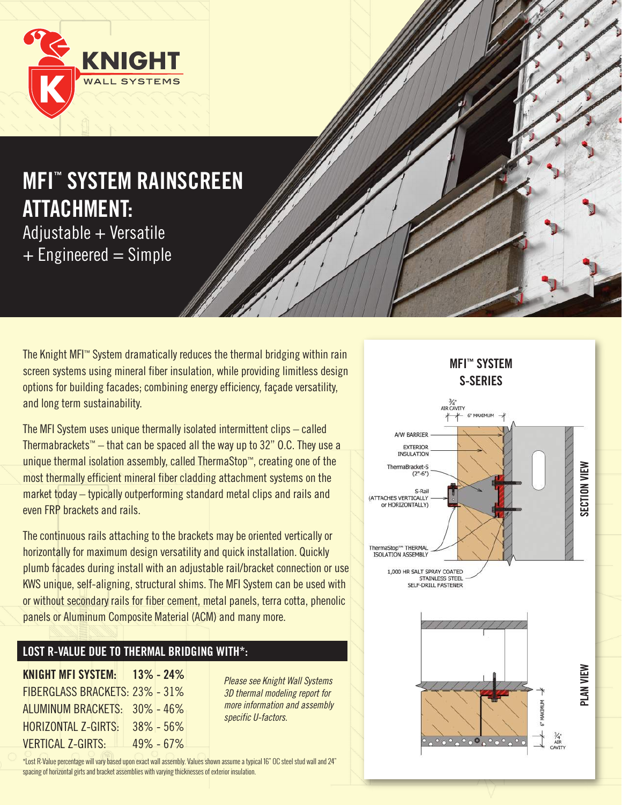

The Knight MFI™ System dramatically reduces the thermal bridging within rain screen systems using mineral fiber insulation, while providing limitless design options for building facades; combining energy efficiency, façade versatility, and long term sustainability.

The MFI System uses unique thermally isolated intermittent clips – called Thermabrackets™ – that can be spaced all the way up to 32" O.C. They use a unique thermal isolation assembly, called ThermaStop™, creating one of the most thermally efficient mineral fiber cladding attachment systems on the market today – typically outperforming standard metal clips and rails and even FRP brackets and rails.

The continuous rails attaching to the brackets may be oriented vertically or horizontally for maximum design versatility and quick installation. Quickly plumb facades during install with an adjustable rail/bracket connection or use KWS unique, self-aligning, structural shims. The MFI System can be used with or without secondary rails for fiber cement, metal panels, terra cotta, phenolic panels or Aluminum Composite Material (ACM) and many more.

## **LOST R-VALUE DUE TO THERMAL BRIDGING WITH\*:**

**KNIGHT MFI SYSTEM: 13% - 24%** FIBERGLASS BRACKETS: 23% - 31% ALUMINUM BRACKETS: 30% - 46% HORIZONTAL Z-GIRTS: 38% - 56% VERTICAL Z-GIRTS: 49% - 67%

*Please see Knight Wall Systems 3D thermal modeling report for more information and assembly specific U-factors.*

\*Lost R-Value percentage will vary based upon exact wall assembly. Values shown assume a typical 16" OC steel stud wall and 24" spacing of horizontal girts and bracket assemblies with varying thicknesses of exterior insulation.